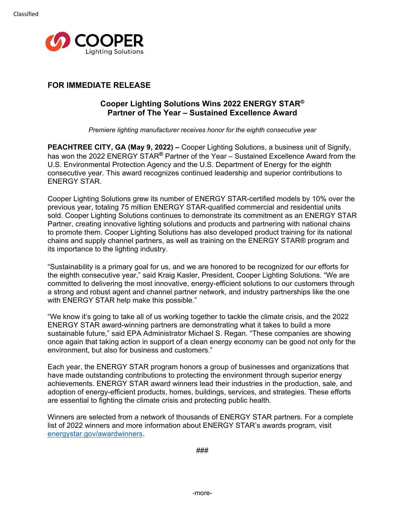

# **FOR IMMEDIATE RELEASE**

# **Cooper Lighting Solutions Wins 2022 ENERGY STAR® Partner of The Year – Sustained Excellence Award**

*Premiere lighting manufacturer receives honor for the eighth consecutive year*

**PEACHTREE CITY, GA (May 9, 2022) –** Cooper Lighting Solutions, a business unit of Signify, has won the 2022 ENERGY STAR**®** Partner of the Year – Sustained Excellence Award from the U.S. Environmental Protection Agency and the U.S. Department of Energy for the eighth consecutive year. This award recognizes continued leadership and superior contributions to ENERGY STAR.

Cooper Lighting Solutions grew its number of ENERGY STAR-certified models by 10% over the previous year, totaling 75 million ENERGY STAR-qualified commercial and residential units sold. Cooper Lighting Solutions continues to demonstrate its commitment as an ENERGY STAR Partner, creating innovative lighting solutions and products and partnering with national chains to promote them. Cooper Lighting Solutions has also developed product training for its national chains and supply channel partners, as well as training on the ENERGY STAR® program and its importance to the lighting industry.

"Sustainability is a primary goal for us, and we are honored to be recognized for our efforts for the eighth consecutive year," said Kraig Kasler, President, Cooper Lighting Solutions. "We are committed to delivering the most innovative, energy-efficient solutions to our customers through a strong and robust agent and channel partner network, and industry partnerships like the one with ENERGY STAR help make this possible."

"We know it's going to take all of us working together to tackle the climate crisis, and the 2022 ENERGY STAR award-winning partners are demonstrating what it takes to build a more sustainable future," said EPA Administrator Michael S. Regan. "These companies are showing once again that taking action in support of a clean energy economy can be good not only for the environment, but also for business and customers."

Each year, the ENERGY STAR program honors a group of businesses and organizations that have made outstanding contributions to protecting the environment through superior energy achievements. ENERGY STAR award winners lead their industries in the production, sale, and adoption of energy-efficient products, homes, buildings, services, and strategies. These efforts are essential to fighting the climate crisis and protecting public health.

Winners are selected from a network of thousands of ENERGY STAR partners. For a complete list of 2022 winners and more information about ENERGY STAR's awards program, visit [energystar.gov/awardwinners.](http://www.energystar.gov/awardwinners)

###